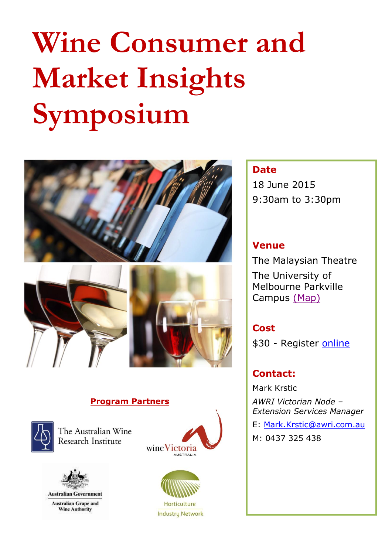# **Wine Consumer and Market Insights Symposium**





#### **Program Partners**



The Australian Wine Research Institute



**Australian Grape and Wine Authority** 





**Industry Network** 

#### **Date**

18 June 2015 9:30am to 3:30pm

### **Venue**

The Malaysian Theatre The University of Melbourne Parkville Campus [\(Map\)](http://maps.unimelb.edu.au/parkville/building/133)

## **Cost**

\$30 - Register [online](http://www.awri.com.au/events/wine-consumer-market-insights-symposium/)

# **Contact:**

Mark Krstic

*AWRI Victorian Node – Extension Services Manager*

E: [Mark.Krstic@awri.com.au](mailto:Mark.Krstic@awri.com.au)

M: 0437 325 438